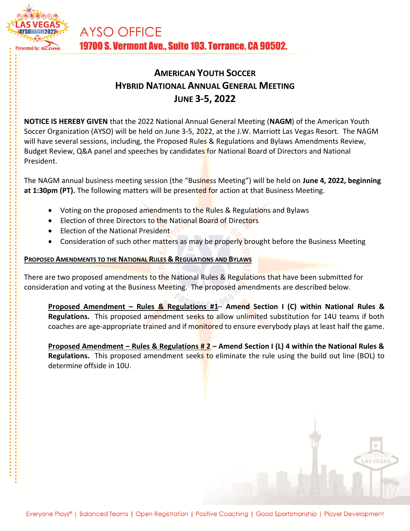

# **AMERICAN YOUTH SOCCER HYBRID NATIONAL ANNUAL GENERAL MEETING JUNE 3-5, 2022**

**NOTICE IS HEREBY GIVEN** that the 2022 National Annual General Meeting (**NAGM**) of the American Youth Soccer Organization (AYSO) will be held on June 3-5, 2022, at the J.W. Marriott Las Vegas Resort. The NAGM will have several sessions, including, the Proposed Rules & Regulations and Bylaws Amendments Review, Budget Review, Q&A panel and speeches by candidates for National Board of Directors and National President.

The NAGM annual business meeting session (the "Business Meeting") will be held on **June 4, 2022, beginning at 1:30pm (PT).** The following matters will be presented for action at that Business Meeting.

- Voting on the proposed amendments to the Rules & Regulations and Bylaws
- Election of three Directors to the National Board of Directors
- Election of the National President
- Consideration of such other matters as may be properly brought before the Business Meeting

### **PROPOSED AMENDMENTS TO THE NATIONAL RULES & REGULATIONS AND BYLAWS**

There are two proposed amendments to the National Rules & Regulations that have been submitted for consideration and voting at the Business Meeting. The proposed amendments are described below.

**Proposed Amendment – Rules & Regulations #1**– **Amend Section I (C) within National Rules & Regulations.** This proposed amendment seeks to allow unlimited substitution for 14U teams if both coaches are age-appropriate trained and if monitored to ensure everybody plays at least half the game.

**Proposed Amendment – Rules & Regulations # 2 – Amend Section I (L) 4 within the National Rules & Regulations.** This proposed amendment seeks to eliminate the rule using the build out line (BOL) to determine offside in 10U.

**LAS VEGA**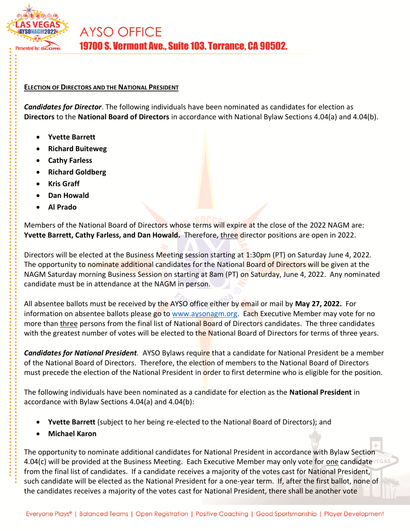

#### **ELECTION OF DIRECTORS AND THE NATIONAL PRESIDENT**

*Candidates for Director*. The following individuals have been nominated as candidates for election as **Directors** to the **National Board of Directors** in accordance with National Bylaw Sections 4.04(a) and 4.04(b).

- **Yvette Barrett**
- **Richard Buiteweg**
- **Cathy Farless**
- **Richard Goldberg**
- **Kris Graff**
- **Dan Howald**
- **Al Prado**

Members of the National Board of Directors whose terms will expire at the close of the 2022 NAGM are: **Yvette Barrett, Cathy Farless, and Dan Howald.** Therefore, three director positions are open in 2022.

Directors will be elected at the Business Meeting session starting at 1:30pm (PT) on Saturday June 4, 2022. The opportunity to nominate additional candidates for the National Board of Directors will be given at the NAGM Saturday morning Business Session on starting at 8am (PT) on Saturday, June 4, 2022. Any nominated candidate must be in attendance at the NAGM in person.

All absentee ballots must be received by the AYSO office either by email or mail by **May 27, 2022.** For information on absentee ballots please go to [www.aysonagm.org.](http://www.aysonagm.org/) Each Executive Member may vote for no more than three persons from the final list of National Board of Directors candidates. The three candidates with the greatest number of votes will be elected to the National Board of Directors for terms of three years.

*Candidates for National President.* AYSO Bylaws require that a candidate for National President be a member of the National Board of Directors. Therefore, the election of members to the National Board of Directors must precede the election of the National President in order to first determine who is eligible for the position.

The following individuals have been nominated as a candidate for election as the **National President** in accordance with Bylaw Sections 4.04(a) and 4.04(b):

- **Yvette Barrett** (subject to her being re-elected to the National Board of Directors); and
- **Michael Karon**

The opportunity to nominate additional candidates for National President in accordance with Bylaw Section 4.04(c) will be provided at the Business Meeting. Each Executive Member may only vote for one candidate  $VEGAS$ from the final list of candidates. If a candidate receives a majority of the votes cast for National President, such candidate will be elected as the National President for a one-year term. If, after the first ballot, none of the candidates receives a majority of the votes cast for National President, there shall be another vote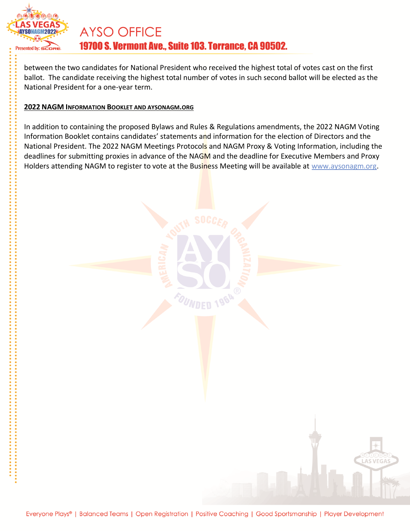

# **AYSO OFFICE** 19700 S. Vermont Ave., Suite 103. Torrance, CA 90502.

between the two candidates for National President who received the highest total of votes cast on the first ballot. The candidate receiving the highest total number of votes in such second ballot will be elected as the National President for a one-year term.

### **2022 NAGM INFORMATION BOOKLET AND AYSONAGM.ORG**

In addition to containing the proposed Bylaws and Rules & Regulations amendments, the 2022 NAGM Voting Information Booklet contains candidates' statements and information for the election of Directors and the National President. The 2022 NAGM Meetings Protocols and NAGM Proxy & Voting Information, including the deadlines for submitting proxies in advance of the NAGM and the deadline for Executive Members and Proxy Holders attending NAGM to register to vote at the Business Meeting will be available at [www.aysonagm.org.](http://www.aysonagm.org/)

**LAS VEGA**